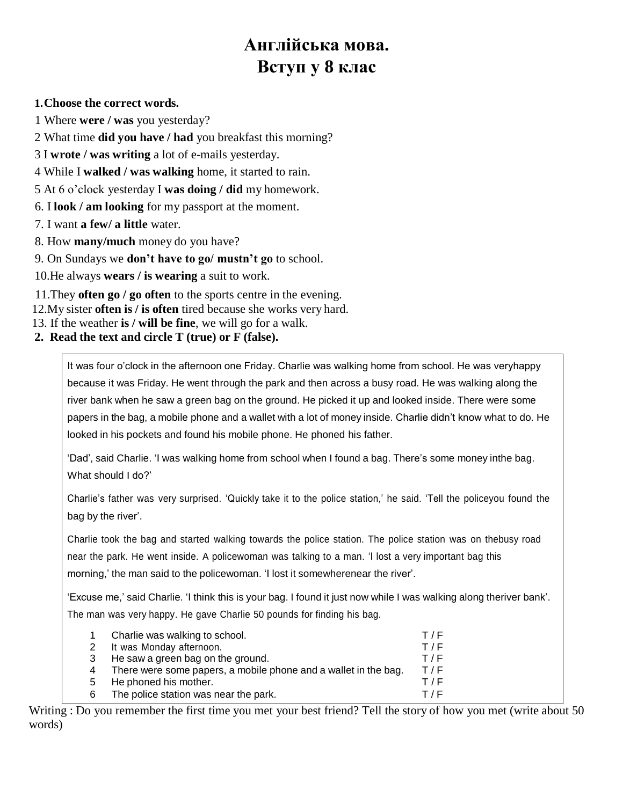# **Англійська мова. Вступ у 8 клас**

#### **1.Choose the correct words.**

1 Where **were / was** you yesterday?

2 What time **did you have / had** you breakfast this morning?

3 I **wrote / was writing** a lot of e-mails yesterday.

4 While I **walked / was walking** home, it started to rain.

5 At 6 o'clock yesterday I **was doing / did** my homework.

6. I **look / am looking** for my passport at the moment.

7. I want **a few/ a little** water.

8. How **many/much** money do you have?

9. On Sundays we **don't have to go/ mustn't go** to school.

10.He always **wears / is wearing** a suit to work.

11.They **often go / go often** to the sports centre in the evening.

12.My sister **often is / is often** tired because she works very hard.

13. If the weather **is / will be fine**, we will go for a walk.

**2. Read the text and circle T (true) or F (false).**

It was four o'clock in the afternoon one Friday. Charlie was walking home from school. He was veryhappy because it was Friday. He went through the park and then across a busy road. He was walking along the river bank when he saw a green bag on the ground. He picked it up and looked inside. There were some papers in the bag, a mobile phone and a wallet with a lot of money inside. Charlie didn't know what to do. He looked in his pockets and found his mobile phone. He phoned his father.

'Dad', said Charlie. 'I was walking home from school when I found a bag. There's some money inthe bag. What should I do?'

Charlie's father was very surprised. 'Quickly take it to the police station,' he said. 'Tell the policeyou found the bag by the river'.

Charlie took the bag and started walking towards the police station. The police station was on thebusy road near the park. He went inside. A policewoman was talking to a man. 'I lost a very important bag this morning,' the man said to the policewoman. 'I lost it somewherenear the river'.

'Excuse me,' said Charlie. 'I think this is your bag. I found it just now while I was walking along theriver bank'. The man was very happy. He gave Charlie 50 pounds for finding his bag.

|                                                                 | T/F                            |
|-----------------------------------------------------------------|--------------------------------|
| 2 It was Monday afternoon.                                      | T/F                            |
| He saw a green bag on the ground.                               | T/F                            |
| There were some papers, a mobile phone and a wallet in the bag. | T/F                            |
| He phoned his mother.                                           | T/F                            |
| The police station was near the park.                           | T/F                            |
|                                                                 | Charlie was walking to school. |

Writing : Do you remember the first time you met your best friend? Tell the story of how you met (write about 50 words)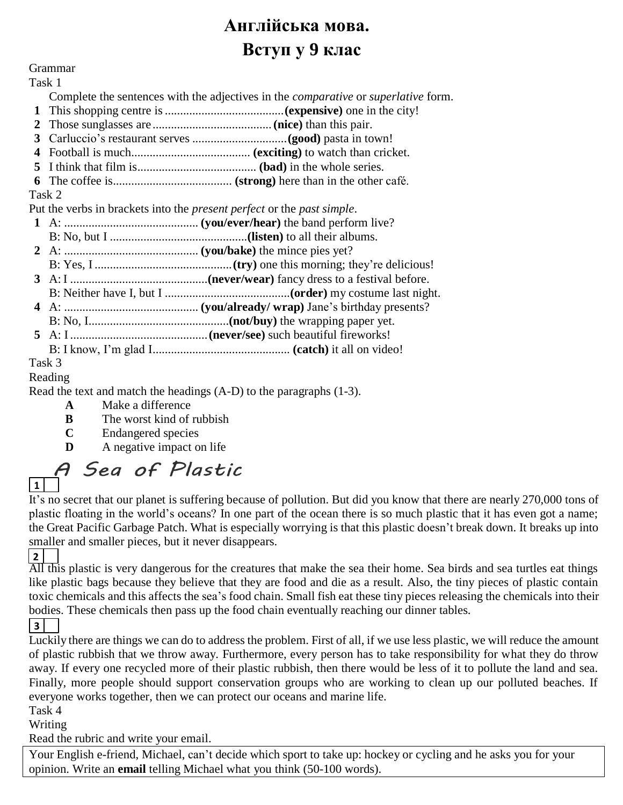# **Англійська мова. Вступ у 9 клас**

### Grammar

Task 1 Complete the sentences with the adjectives in the *comparative* or *superlative* form.

- **1** This shopping centre is.......................................**(expensive)** one in the city!
- **2** Those sunglasses are .......................................**(nice)** than this pair.
- **3** Carluccio's restaurant serves ...............................**(good)** pasta in town!
- **4** Football is much....................................... **(exciting)** to watch than cricket.
- **5** I think that film is....................................... **(bad)** in the whole series.
- **6** The coffee is....................................... **(strong)** here than in the other café.

### Task 2

Put the verbs in brackets into the *present perfect* or the *past simple*.

| $\Gamma$ at the veros in orackets filto the <i>present perfect</i> of the <i>past simple</i> . |        |  |
|------------------------------------------------------------------------------------------------|--------|--|
|                                                                                                |        |  |
|                                                                                                |        |  |
|                                                                                                |        |  |
|                                                                                                |        |  |
|                                                                                                |        |  |
|                                                                                                |        |  |
|                                                                                                |        |  |
|                                                                                                |        |  |
|                                                                                                |        |  |
|                                                                                                |        |  |
|                                                                                                | Task 3 |  |

### Reading

Read the text and match the headings (A-D) to the paragraphs (1-3).

- **A** Make a difference
- **B** The worst kind of rubbish
- **C** Endangered species
- **D** A negative impact on life

# A Sea of Plastic **1**

It's no secret that our planet is suffering because of pollution. But did you know that there are nearly 270,000 tons of plastic floating in the world's oceans? In one part of the ocean there is so much plastic that it has even got a name; the Great Pacific Garbage Patch. What is especially worrying is that this plastic doesn't break down. It breaks up into smaller and smaller pieces, but it never disappears.

# **2**

All this plastic is very dangerous for the creatures that make the sea their home. Sea birds and sea turtles eat things like plastic bags because they believe that they are food and die as a result. Also, the tiny pieces of plastic contain toxic chemicals and this affects the sea's food chain. Small fish eat these tiny pieces releasing the chemicals into their bodies. These chemicals then pass up the food chain eventually reaching our dinner tables.

### **3**

Luckily there are things we can do to address the problem. First of all, if we use less plastic, we will reduce the amount of plastic rubbish that we throw away. Furthermore, every person has to take responsibility for what they do throw away. If every one recycled more of their plastic rubbish, then there would be less of it to pollute the land and sea. Finally, more people should support conservation groups who are working to clean up our polluted beaches. If everyone works together, then we can protect our oceans and marine life.

Task 4

Writing

Read the rubric and write your email.

Your English e-friend, Michael, can't decide which sport to take up: hockey or cycling and he asks you for your opinion. Write an **email** telling Michael what you think (50-100 words).